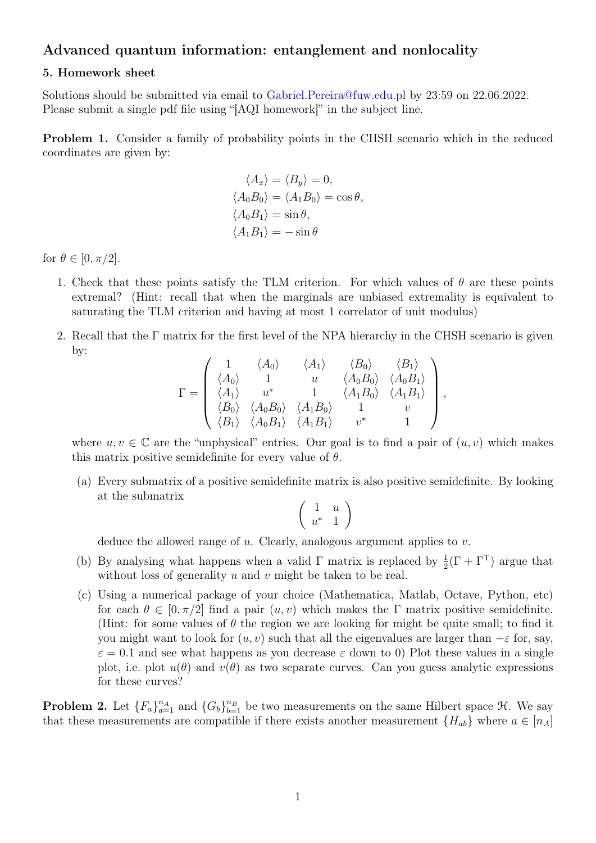## Advanced quantum information: entanglement and nonlocality

## 5. Homework sheet

Solutions should be submitted via email to [Gabriel.Pereira@fuw.edu.pl](mailto:Gabriel.Pereira@fuw.edu.pl?subject=[AQI homework]) by 23:59 on 22.06.2022. Please submit a single pdf file using "[AQI homework]" in the subject line.

Problem 1. Consider a family of probability points in the CHSH scenario which in the reduced coordinates are given by:

$$
\langle A_x \rangle = \langle B_y \rangle = 0,
$$
  

$$
\langle A_0 B_0 \rangle = \langle A_1 B_0 \rangle = \cos \theta,
$$
  

$$
\langle A_0 B_1 \rangle = \sin \theta,
$$
  

$$
\langle A_1 B_1 \rangle = -\sin \theta
$$

for  $\theta \in [0, \pi/2]$ .

- 1. Check that these points satisfy the TLM criterion. For which values of  $\theta$  are these points extremal? (Hint: recall that when the marginals are unbiased extremality is equivalent to saturating the TLM criterion and having at most 1 correlator of unit modulus)
- 2. Recall that the Γ matrix for the first level of the NPA hierarchy in the CHSH scenario is given by:

$$
\Gamma = \begin{pmatrix}\n1 & \langle A_0 \rangle & \langle A_1 \rangle & \langle B_0 \rangle & \langle B_1 \rangle \\
\langle A_0 \rangle & 1 & u & \langle A_0 B_0 \rangle & \langle A_0 B_1 \rangle \\
\langle A_1 \rangle & u^* & 1 & \langle A_1 B_0 \rangle & \langle A_1 B_1 \rangle \\
\langle B_0 \rangle & \langle A_0 B_0 \rangle & \langle A_1 B_0 \rangle & 1 & v \\
\langle B_1 \rangle & \langle A_0 B_1 \rangle & \langle A_1 B_1 \rangle & v^* & 1\n\end{pmatrix},
$$

where  $u, v \in \mathbb{C}$  are the "unphysical" entries. Our goal is to find a pair of  $(u, v)$  which makes this matrix positive semidefinite for every value of  $\theta$ .

(a) Every submatrix of a positive semidefinite matrix is also positive semidefinite. By looking at the submatrix

$$
\left(\begin{array}{cc} 1 & u \\ u^* & 1 \end{array}\right)
$$

deduce the allowed range of  $u$ . Clearly, analogous argument applies to  $v$ .

- (b) By analysing what happens when a valid  $\Gamma$  matrix is replaced by  $\frac{1}{2}(\Gamma + \Gamma^T)$  argue that without loss of generality  $u$  and  $v$  might be taken to be real.
- (c) Using a numerical package of your choice (Mathematica, Matlab, Octave, Python, etc) for each  $\theta \in [0, \pi/2]$  find a pair  $(u, v)$  which makes the Γ matrix positive semidefinite. (Hint: for some values of  $\theta$  the region we are looking for might be quite small; to find it you might want to look for  $(u, v)$  such that all the eigenvalues are larger than  $-\varepsilon$  for, say,  $\varepsilon = 0.1$  and see what happens as you decrease  $\varepsilon$  down to 0) Plot these values in a single plot, i.e. plot  $u(\theta)$  and  $v(\theta)$  as two separate curves. Can you guess analytic expressions for these curves?

**Problem 2.** Let  ${F_a}_{a=1}^{n_A}$  and  ${G_b}_{b=1}^{n_B}$  be two measurements on the same Hilbert space  $H$ . We say that these measurements are compatible if there exists another measurement  ${H_{ab}}$  where  $a \in [n_A]$